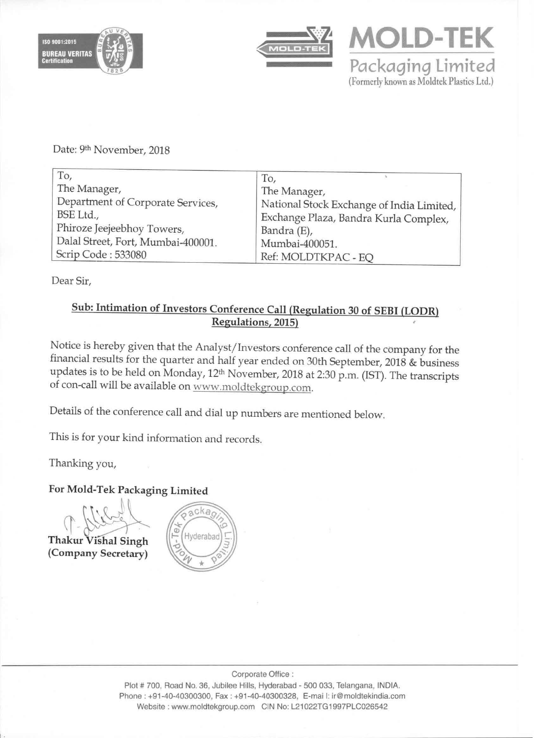





Date: 9th November, 2018

| To,                                | To,                                       |
|------------------------------------|-------------------------------------------|
| The Manager,                       | The Manager,                              |
| Department of Corporate Services,  | National Stock Exchange of India Limited, |
| BSE Ltd.,                          | Exchange Plaza, Bandra Kurla Complex,     |
| Phiroze Jeejeebhoy Towers,         | Bandra (E),                               |
| Dalal Street, Fort, Mumbai-400001. | Mumbai-400051.                            |
| Scrip Code: 533080                 | Ref: MOLDTKPAC - EQ                       |

Dear Sir,

## Sub: Intimation of Investors Conference Call (Regulation 30 of SEBI (LODR) Regulations, 2015)

Notice is hereby given that the Analyst/ Investors conference call of the company for the financial results for the quarter and half year ended on 30th September, 2018 & business updates is to be held on Monday, 12<sup>th</sup> November, 2018 at 2:30 p.m. (IST). The transcripts of con-call will be available on www.moldtekgroup.com.

Details of the conference call and dial up numbers are mentioned below.

This is for your kind information and records.

Thanking you,

For Mold-Tek Packaging Limited<br>
Thakur Vishal Singh  $\frac{1}{2}$ (Company Secretary)